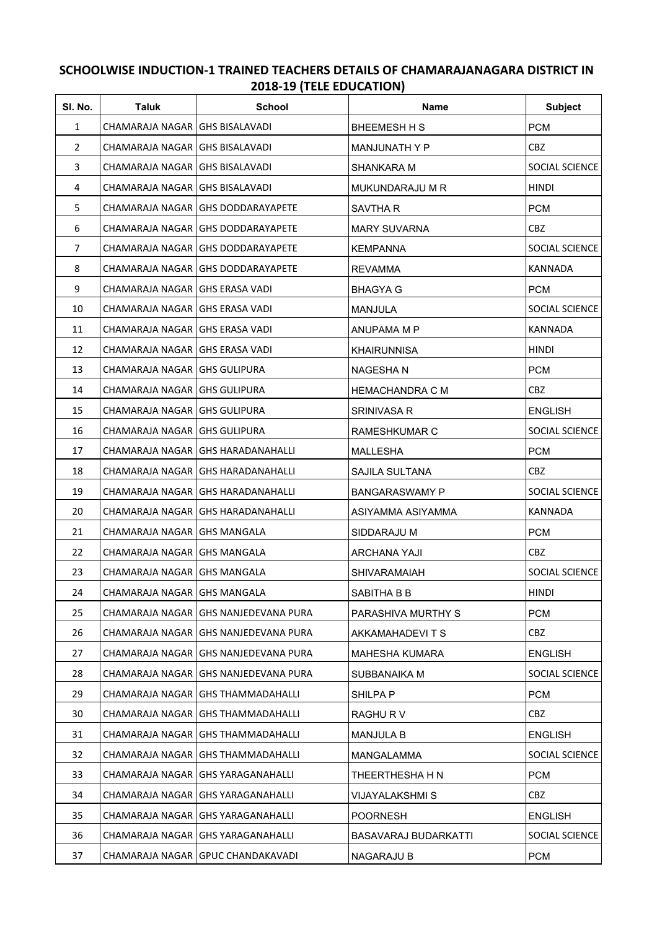## **SCHOOLWISE INDUCTION-1 TRAINED TEACHERS DETAILS OF CHAMARAJANAGARA DISTRICT IN 2018-19 (TELE EDUCATION)**

| SI. No.        | <b>Taluk</b>                     | <b>School</b>                          | <b>Name</b>            | <b>Subject</b>        |
|----------------|----------------------------------|----------------------------------------|------------------------|-----------------------|
| $\mathbf{1}$   | CHAMARAJA NAGAR   GHS BISALAVADI |                                        | <b>BHEEMESH H S</b>    | <b>PCM</b>            |
| $\overline{2}$ | CHAMARAJA NAGAR   GHS BISALAVADI |                                        | <b>MANJUNATH Y P</b>   | CBZ.                  |
| 3              | CHAMARAJA NAGAR   GHS BISALAVADI |                                        | SHANKARA M             | SOCIAL SCIENCE        |
| 4              | CHAMARAJA NAGAR   GHS BISALAVADI |                                        | MUKUNDARAJU M R        | HINDI                 |
| 5              |                                  | CHAMARAJA NAGAR   GHS DODDARAYAPETE    | SAVTHA R               | <b>PCM</b>            |
| 6              |                                  | CHAMARAJA NAGAR   GHS DODDARAYAPETE    | <b>MARY SUVARNA</b>    | CBZ                   |
| 7              |                                  | CHAMARAJA NAGAR   GHS DODDARAYAPETE    | <b>KEMPANNA</b>        | SOCIAL SCIENCE        |
| 8              |                                  | CHAMARAJA NAGAR   GHS DODDARAYAPETE    | <b>REVAMMA</b>         | KANNADA               |
| 9              | CHAMARAJA NAGAR   GHS ERASA VADI |                                        | <b>BHAGYA G</b>        | <b>PCM</b>            |
| 10             | CHAMARAJA NAGAR   GHS ERASA VADI |                                        | <b>MANJULA</b>         | SOCIAL SCIENCE        |
| 11             | CHAMARAJA NAGAR GHS ERASA VADI   |                                        | ANUPAMA M P            | <b>KANNADA</b>        |
| 12             | CHAMARAJA NAGAR GHS ERASA VADI   |                                        | <b>KHAIRUNNISA</b>     | <b>HINDI</b>          |
| 13             | CHAMARAJA NAGAR GHS GULIPURA     |                                        | <b>NAGESHAN</b>        | <b>PCM</b>            |
| 14             | CHAMARAJA NAGAR GHS GULIPURA     |                                        | <b>HEMACHANDRA C M</b> | CBZ                   |
| 15             | CHAMARAJA NAGAR GHS GULIPURA     |                                        | <b>SRINIVASA R</b>     | <b>ENGLISH</b>        |
| 16             | CHAMARAJA NAGAR   GHS GULIPURA   |                                        | RAMESHKUMAR C          | SOCIAL SCIENCE        |
| 17             |                                  | CHAMARAJA NAGAR   GHS HARADANAHALLI    | <b>MALLESHA</b>        | <b>PCM</b>            |
| 18             |                                  | CHAMARAJA NAGAR I GHS HARADANAHALLI    | SAJILA SULTANA         | CBZ                   |
| 19             |                                  | CHAMARAJA NAGAR GHS HARADANAHALLI      | <b>BANGARASWAMY P</b>  | SOCIAL SCIENCE        |
| 20             |                                  | CHAMARAJA NAGAR   GHS HARADANAHALLI    | ASIYAMMA ASIYAMMA      | KANNADA               |
| 21             | CHAMARAJA NAGAR GHS MANGALA      |                                        | SIDDARAJU M            | <b>PCM</b>            |
| 22             | CHAMARAJA NAGAR   GHS MANGALA    |                                        | ARCHANA YAJI           | CBZ                   |
| 23             | CHAMARAJA NAGAR   GHS MANGALA    |                                        | <b>SHIVARAMAIAH</b>    | <b>SOCIAL SCIENCE</b> |
| 24             | CHAMARAJA NAGAR   GHS MANGALA    |                                        | SABITHA B B            | <b>HINDI</b>          |
| 25             |                                  | CHAMARAJA NAGAR   GHS NANJEDEVANA PURA | PARASHIVA MURTHY S     | <b>PCM</b>            |
| 26             |                                  | CHAMARAJA NAGAR GHS NANJEDEVANA PURA   | AKKAMAHADEVITS         | CBZ.                  |
| 27             |                                  | CHAMARAJA NAGAR   GHS NANJEDEVANA PURA | <b>MAHESHA KUMARA</b>  | <b>ENGLISH</b>        |
| 28             | CHAMARAJA NAGAR                  | <b>GHS NANJEDEVANA PURA</b>            | SUBBANAIKA M           | SOCIAL SCIENCE        |
| 29             | CHAMARAJA NAGAR                  | <b>GHS THAMMADAHALLI</b>               | SHILPA P               | <b>PCM</b>            |
| 30             |                                  | CHAMARAJA NAGAR GHS THAMMADAHALLI      | RAGHUR V               | <b>CBZ</b>            |
| 31             |                                  | CHAMARAJA NAGAR   GHS THAMMADAHALLI    | <b>MANJULA B</b>       | <b>ENGLISH</b>        |
| 32             |                                  | CHAMARAJA NAGAR   GHS THAMMADAHALLI    | MANGALAMMA             | SOCIAL SCIENCE        |
| 33             |                                  | CHAMARAJA NAGAR   GHS YARAGANAHALLI    | THEERTHESHA H N        | <b>PCM</b>            |
| 34             |                                  | CHAMARAJA NAGAR   GHS YARAGANAHALLI    | VIJAYALAKSHMI S        | CBZ                   |
| 35             |                                  | CHAMARAJA NAGAR GHS YARAGANAHALLI      | <b>POORNESH</b>        | <b>ENGLISH</b>        |
| 36             |                                  | CHAMARAJA NAGAR   GHS YARAGANAHALLI    | BASAVARAJ BUDARKATTI   | SOCIAL SCIENCE        |
| 37             |                                  | CHAMARAJA NAGAR GPUC CHANDAKAVADI      | <b>NAGARAJU B</b>      | <b>PCM</b>            |